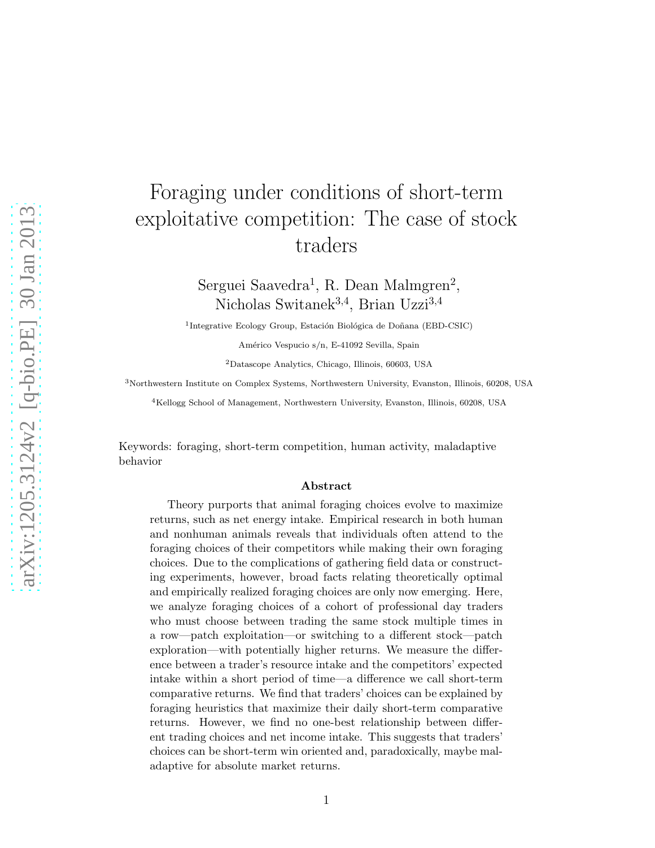# Foraging under conditions of short-term exploitative competition: The case of stock traders

Serguei Saavedra<sup>1</sup>, R. Dean Malmgren<sup>2</sup>, Nicholas Switanek<sup>3,4</sup>, Brian Uzzi<sup>3,4</sup>

<sup>1</sup>Integrative Ecology Group, Estación Biológica de Doñana (EBD-CSIC)

Américo Vespucio s/n, E-41092 Sevilla, Spain

<sup>2</sup>Datascope Analytics, Chicago, Illinois, 60603, USA

<sup>3</sup>Northwestern Institute on Complex Systems, Northwestern University, Evanston, Illinois, 60208, USA

<sup>4</sup>Kellogg School of Management, Northwestern University, Evanston, Illinois, 60208, USA

Keywords: foraging, short-term competition, human activity, maladaptive behavior

#### Abstract

Theory purports that animal foraging choices evolve to maximize returns, such as net energy intake. Empirical research in both human and nonhuman animals reveals that individuals often attend to the foraging choices of their competitors while making their own foraging choices. Due to the complications of gathering field data or constructing experiments, however, broad facts relating theoretically optimal and empirically realized foraging choices are only now emerging. Here, we analyze foraging choices of a cohort of professional day traders who must choose between trading the same stock multiple times in a row—patch exploitation—or switching to a different stock—patch exploration—with potentially higher returns. We measure the difference between a trader's resource intake and the competitors' expected intake within a short period of time—a difference we call short-term comparative returns. We find that traders' choices can be explained by foraging heuristics that maximize their daily short-term comparative returns. However, we find no one-best relationship between different trading choices and net income intake. This suggests that traders' choices can be short-term win oriented and, paradoxically, maybe maladaptive for absolute market returns.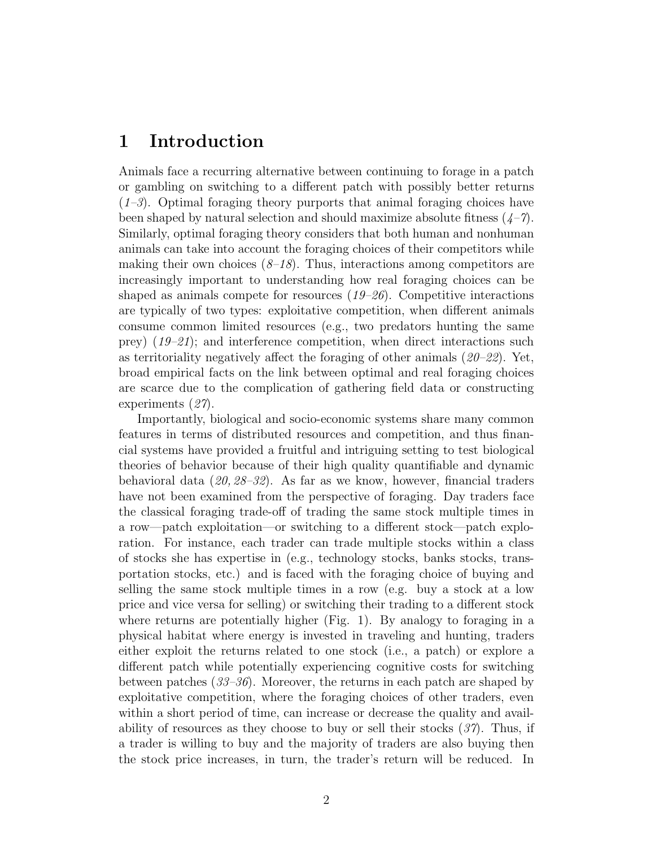### 1 Introduction

Animals face a recurring alternative between continuing to forage in a patch or gambling on switching to a different patch with possibly better returns  $(1-3)$ . Optimal foraging theory purports that animal foraging choices have been shaped by natural selection and should maximize absolute fitness  $(4-7)$ . Similarly, optimal foraging theory considers that both human and nonhuman animals can take into account the foraging choices of their competitors while making their own choices  $(8-18)$ . Thus, interactions among competitors are increasingly important to understanding how real foraging choices can be shaped as animals compete for resources (*19–26*). Competitive interactions are typically of two types: exploitative competition, when different animals consume common limited resources (e.g., two predators hunting the same prey) (*19–21*); and interference competition, when direct interactions such as territoriality negatively affect the foraging of other animals (*20–22*). Yet, broad empirical facts on the link between optimal and real foraging choices are scarce due to the complication of gathering field data or constructing experiments (*27*).

Importantly, biological and socio-economic systems share many common features in terms of distributed resources and competition, and thus financial systems have provided a fruitful and intriguing setting to test biological theories of behavior because of their high quality quantifiable and dynamic behavioral data (*20, 28–32*). As far as we know, however, financial traders have not been examined from the perspective of foraging. Day traders face the classical foraging trade-off of trading the same stock multiple times in a row—patch exploitation—or switching to a different stock—patch exploration. For instance, each trader can trade multiple stocks within a class of stocks she has expertise in (e.g., technology stocks, banks stocks, transportation stocks, etc.) and is faced with the foraging choice of buying and selling the same stock multiple times in a row (e.g. buy a stock at a low price and vice versa for selling) or switching their trading to a different stock where returns are potentially higher (Fig. 1). By analogy to foraging in a physical habitat where energy is invested in traveling and hunting, traders either exploit the returns related to one stock (i.e., a patch) or explore a different patch while potentially experiencing cognitive costs for switching between patches (*33–36*). Moreover, the returns in each patch are shaped by exploitative competition, where the foraging choices of other traders, even within a short period of time, can increase or decrease the quality and availability of resources as they choose to buy or sell their stocks (*37*). Thus, if a trader is willing to buy and the majority of traders are also buying then the stock price increases, in turn, the trader's return will be reduced. In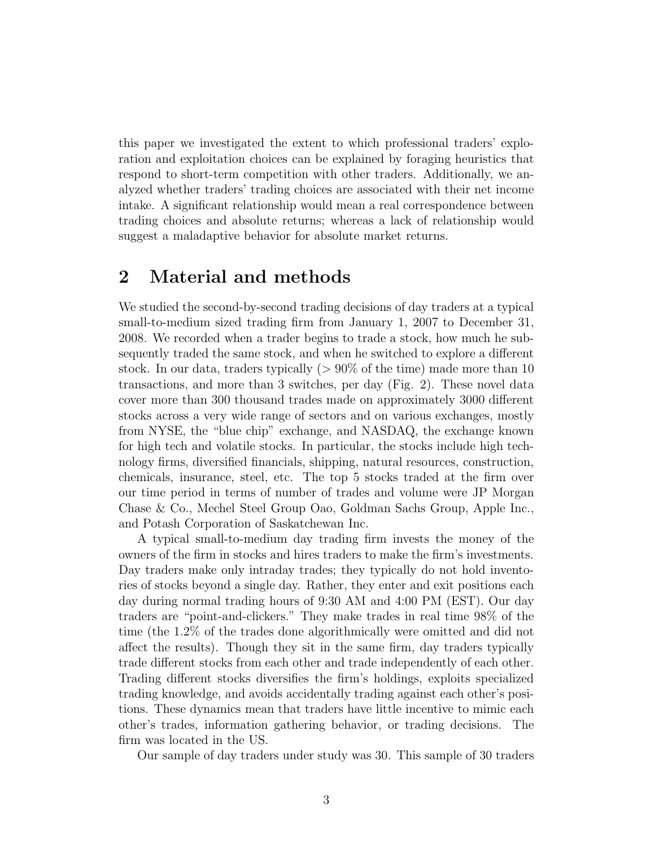this paper we investigated the extent to which professional traders' exploration and exploitation choices can be explained by foraging heuristics that respond to short-term competition with other traders. Additionally, we analyzed whether traders' trading choices are associated with their net income intake. A significant relationship would mean a real correspondence between trading choices and absolute returns; whereas a lack of relationship would suggest a maladaptive behavior for absolute market returns.

### 2 Material and methods

We studied the second-by-second trading decisions of day traders at a typical small-to-medium sized trading firm from January 1, 2007 to December 31, 2008. We recorded when a trader begins to trade a stock, how much he subsequently traded the same stock, and when he switched to explore a different stock. In our data, traders typically  $(> 90\%$  of the time) made more than 10 transactions, and more than 3 switches, per day (Fig. 2). These novel data cover more than 300 thousand trades made on approximately 3000 different stocks across a very wide range of sectors and on various exchanges, mostly from NYSE, the "blue chip" exchange, and NASDAQ, the exchange known for high tech and volatile stocks. In particular, the stocks include high technology firms, diversified financials, shipping, natural resources, construction, chemicals, insurance, steel, etc. The top 5 stocks traded at the firm over our time period in terms of number of trades and volume were JP Morgan Chase & Co., Mechel Steel Group Oao, Goldman Sachs Group, Apple Inc., and Potash Corporation of Saskatchewan Inc.

A typical small-to-medium day trading firm invests the money of the owners of the firm in stocks and hires traders to make the firm's investments. Day traders make only intraday trades; they typically do not hold inventories of stocks beyond a single day. Rather, they enter and exit positions each day during normal trading hours of 9:30 AM and 4:00 PM (EST). Our day traders are "point-and-clickers." They make trades in real time 98% of the time (the 1.2% of the trades done algorithmically were omitted and did not affect the results). Though they sit in the same firm, day traders typically trade different stocks from each other and trade independently of each other. Trading different stocks diversifies the firm's holdings, exploits specialized trading knowledge, and avoids accidentally trading against each other's positions. These dynamics mean that traders have little incentive to mimic each other's trades, information gathering behavior, or trading decisions. The firm was located in the US.

Our sample of day traders under study was 30. This sample of 30 traders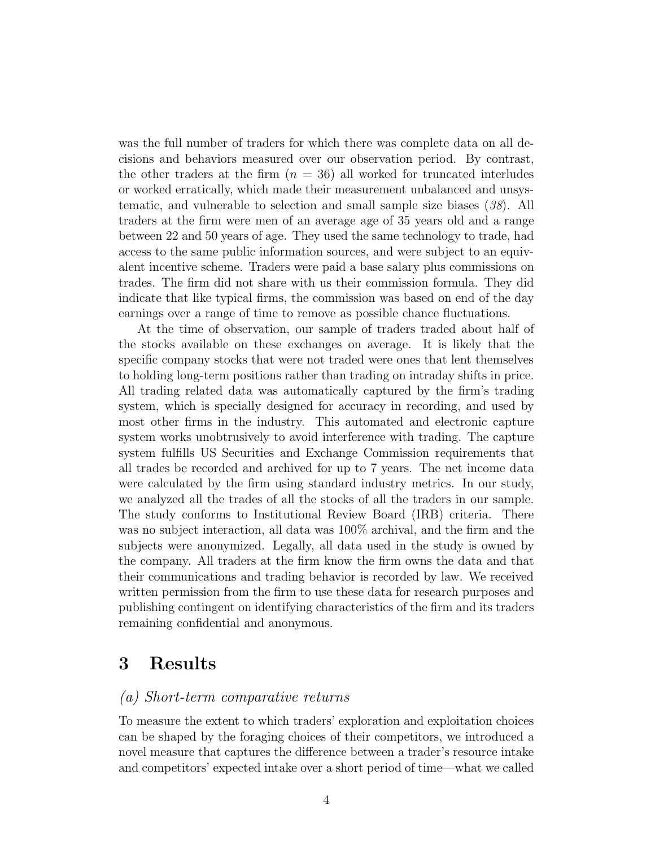was the full number of traders for which there was complete data on all decisions and behaviors measured over our observation period. By contrast, the other traders at the firm  $(n = 36)$  all worked for truncated interludes or worked erratically, which made their measurement unbalanced and unsystematic, and vulnerable to selection and small sample size biases (*38*). All traders at the firm were men of an average age of 35 years old and a range between 22 and 50 years of age. They used the same technology to trade, had access to the same public information sources, and were subject to an equivalent incentive scheme. Traders were paid a base salary plus commissions on trades. The firm did not share with us their commission formula. They did indicate that like typical firms, the commission was based on end of the day earnings over a range of time to remove as possible chance fluctuations.

At the time of observation, our sample of traders traded about half of the stocks available on these exchanges on average. It is likely that the specific company stocks that were not traded were ones that lent themselves to holding long-term positions rather than trading on intraday shifts in price. All trading related data was automatically captured by the firm's trading system, which is specially designed for accuracy in recording, and used by most other firms in the industry. This automated and electronic capture system works unobtrusively to avoid interference with trading. The capture system fulfills US Securities and Exchange Commission requirements that all trades be recorded and archived for up to 7 years. The net income data were calculated by the firm using standard industry metrics. In our study, we analyzed all the trades of all the stocks of all the traders in our sample. The study conforms to Institutional Review Board (IRB) criteria. There was no subject interaction, all data was 100% archival, and the firm and the subjects were anonymized. Legally, all data used in the study is owned by the company. All traders at the firm know the firm owns the data and that their communications and trading behavior is recorded by law. We received written permission from the firm to use these data for research purposes and publishing contingent on identifying characteristics of the firm and its traders remaining confidential and anonymous.

### 3 Results

### *(a) Short-term comparative returns*

To measure the extent to which traders' exploration and exploitation choices can be shaped by the foraging choices of their competitors, we introduced a novel measure that captures the difference between a trader's resource intake and competitors' expected intake over a short period of time—what we called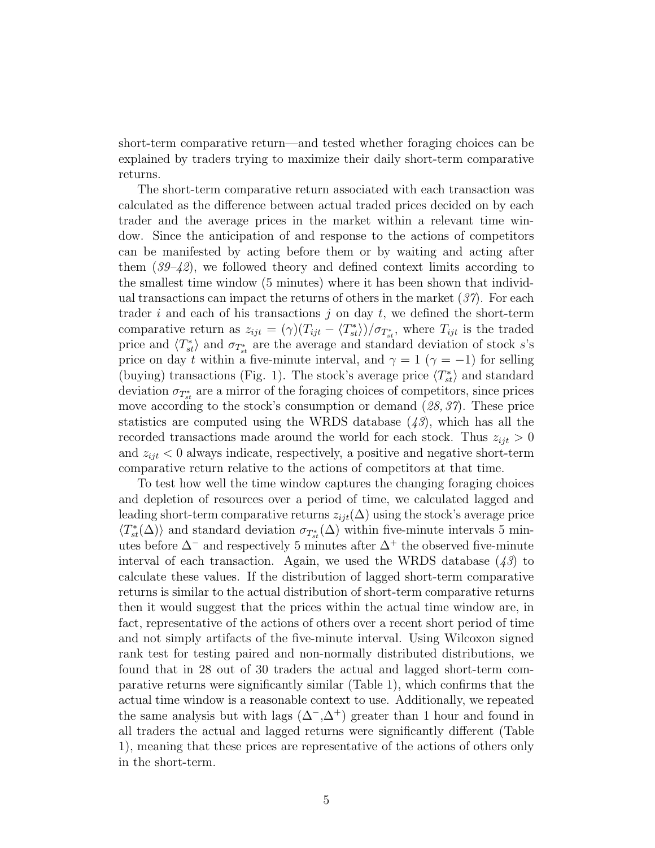short-term comparative return—and tested whether foraging choices can be explained by traders trying to maximize their daily short-term comparative returns.

The short-term comparative return associated with each transaction was calculated as the difference between actual traded prices decided on by each trader and the average prices in the market within a relevant time window. Since the anticipation of and response to the actions of competitors can be manifested by acting before them or by waiting and acting after them (*39–42*), we followed theory and defined context limits according to the smallest time window (5 minutes) where it has been shown that individual transactions can impact the returns of others in the market (*37*). For each trader i and each of his transactions j on day t, we defined the short-term comparative return as  $z_{ijt} = (\gamma)(T_{ijt} - \langle T_{st}^* \rangle)/\sigma_{T_{st}^*}$ , where  $T_{ijt}$  is the traded price and  $\langle T_{st}^* \rangle$  and  $\sigma_{T_{st}}$  are the average and standard deviation of stock s's price on day t within a five-minute interval, and  $\gamma = 1$  ( $\gamma = -1$ ) for selling (buying) transactions (Fig. 1). The stock's average price  $\langle T_{st}^* \rangle$  and standard deviation  $\sigma_{T_{st}}$  are a mirror of the foraging choices of competitors, since prices move according to the stock's consumption or demand (*28, 37*). These price statistics are computed using the WRDS database (*43*), which has all the recorded transactions made around the world for each stock. Thus  $z_{ijt} > 0$ and  $z_{ijt} < 0$  always indicate, respectively, a positive and negative short-term comparative return relative to the actions of competitors at that time.

To test how well the time window captures the changing foraging choices and depletion of resources over a period of time, we calculated lagged and leading short-term comparative returns  $z_{ijt}(\Delta)$  using the stock's average price  $\langle T_{st}^*(\Delta)\rangle$  and standard deviation  $\sigma_{T_{st}}(\Delta)$  within five-minute intervals 5 minutes before  $\Delta^-$  and respectively 5 minutes after  $\Delta^+$  the observed five-minute interval of each transaction. Again, we used the WRDS database (*43*) to calculate these values. If the distribution of lagged short-term comparative returns is similar to the actual distribution of short-term comparative returns then it would suggest that the prices within the actual time window are, in fact, representative of the actions of others over a recent short period of time and not simply artifacts of the five-minute interval. Using Wilcoxon signed rank test for testing paired and non-normally distributed distributions, we found that in 28 out of 30 traders the actual and lagged short-term comparative returns were significantly similar (Table 1), which confirms that the actual time window is a reasonable context to use. Additionally, we repeated the same analysis but with lags  $(\Delta^{-}, \Delta^{+})$  greater than 1 hour and found in all traders the actual and lagged returns were significantly different (Table 1), meaning that these prices are representative of the actions of others only in the short-term.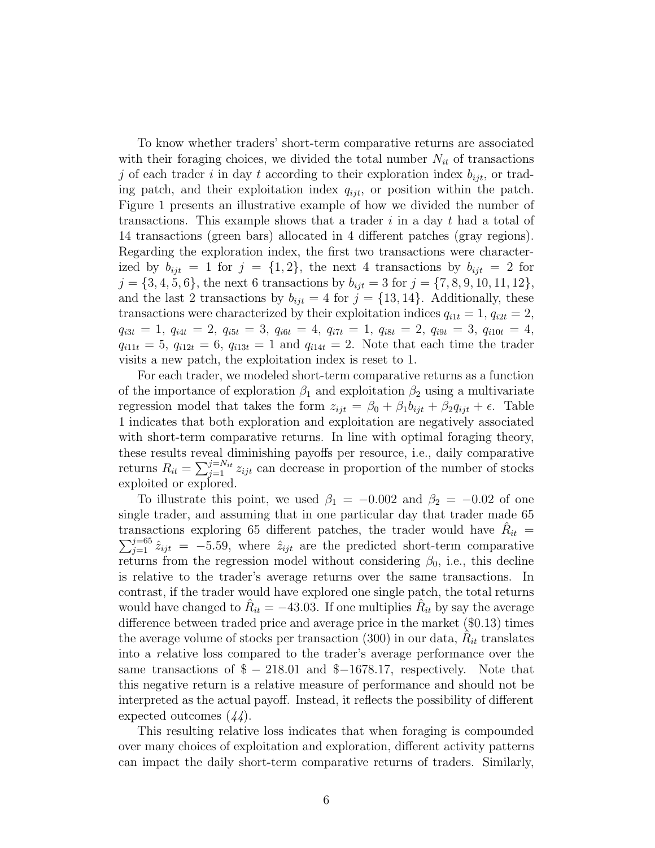To know whether traders' short-term comparative returns are associated with their foraging choices, we divided the total number  $N_{it}$  of transactions j of each trader i in day t according to their exploration index  $b_{ijt}$ , or trading patch, and their exploitation index  $q_{ijt}$ , or position within the patch. Figure 1 presents an illustrative example of how we divided the number of transactions. This example shows that a trader  $i$  in a day  $t$  had a total of 14 transactions (green bars) allocated in 4 different patches (gray regions). Regarding the exploration index, the first two transactions were characterized by  $b_{ijt} = 1$  for  $j = \{1, 2\}$ , the next 4 transactions by  $b_{ijt} = 2$  for  $j = \{3, 4, 5, 6\}$ , the next 6 transactions by  $b_{ijt} = 3$  for  $j = \{7, 8, 9, 10, 11, 12\}$ , and the last 2 transactions by  $b_{ijt} = 4$  for  $j = \{13, 14\}$ . Additionally, these transactions were characterized by their exploitation indices  $q_{i1t} = 1$ ,  $q_{i2t} = 2$ ,  $q_{i3t} = 1, q_{i4t} = 2, q_{i5t} = 3, q_{i6t} = 4, q_{i7t} = 1, q_{i8t} = 2, q_{i9t} = 3, q_{i10t} = 4,$  $q_{i11t} = 5, q_{i12t} = 6, q_{i13t} = 1$  and  $q_{i14t} = 2$ . Note that each time the trader visits a new patch, the exploitation index is reset to 1.

For each trader, we modeled short-term comparative returns as a function of the importance of exploration  $\beta_1$  and exploitation  $\beta_2$  using a multivariate regression model that takes the form  $z_{ijt} = \beta_0 + \beta_1 b_{ijt} + \beta_2 q_{ijt} + \epsilon$ . Table 1 indicates that both exploration and exploitation are negatively associated with short-term comparative returns. In line with optimal foraging theory, these results reveal diminishing payoffs per resource, i.e., daily comparative returns  $R_{it} = \sum_{j=1}^{j=N_{it}} z_{ijt}$  can decrease in proportion of the number of stocks exploited or explored.

To illustrate this point, we used  $\beta_1 = -0.002$  and  $\beta_2 = -0.02$  of one single trader, and assuming that in one particular day that trader made 65 transactions exploring 65 different patches, the trader would have  $R_{it}$  =  $\sum_{j=1}^{j=65} \hat{z}_{ijt} = -5.59$ , where  $\hat{z}_{ijt}$  are the predicted short-term comparative returns from the regression model without considering  $\beta_0$ , i.e., this decline is relative to the trader's average returns over the same transactions. In contrast, if the trader would have explored one single patch, the total returns would have changed to  $\hat{R}_{it} = -43.03$ . If one multiplies  $\hat{R}_{it}$  by say the average difference between traded price and average price in the market (\$0.13) times the average volume of stocks per transaction (300) in our data,  $\hat{R}_{it}$  translates into a *r* elative loss compared to the trader's average performance over the same transactions of  $\frac{1}{2} - \frac{218.01}{2}$  and  $\frac{1}{2} - \frac{1678.17}{2}$ , respectively. Note that this negative return is a relative measure of performance and should not be interpreted as the actual payoff. Instead, it reflects the possibility of different expected outcomes (*44*).

This resulting relative loss indicates that when foraging is compounded over many choices of exploitation and exploration, different activity patterns can impact the daily short-term comparative returns of traders. Similarly,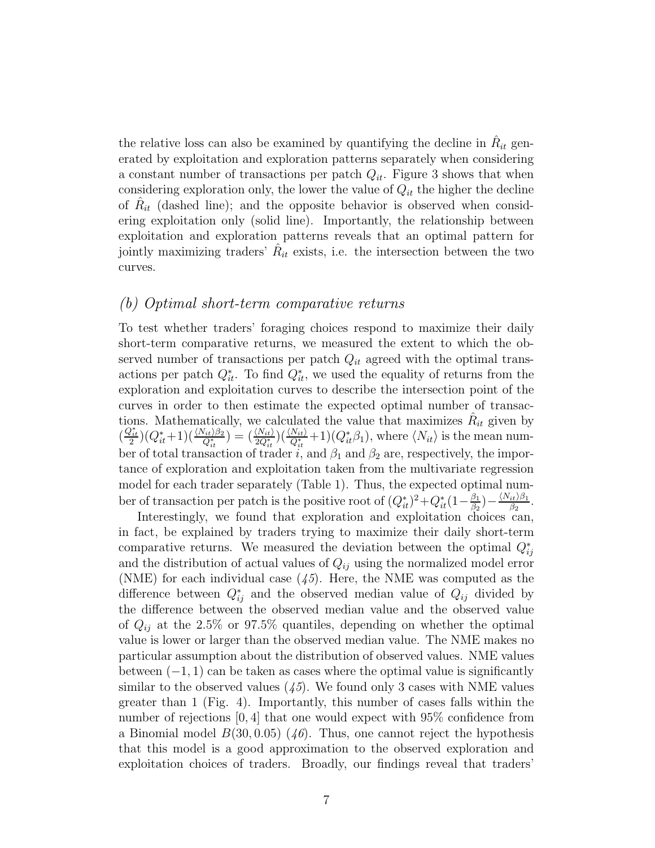the relative loss can also be examined by quantifying the decline in  $\hat{R}_{it}$  generated by exploitation and exploration patterns separately when considering a constant number of transactions per patch  $Q_{it}$ . Figure 3 shows that when considering exploration only, the lower the value of  $Q_{it}$  the higher the decline of  $\hat{R}_{it}$  (dashed line); and the opposite behavior is observed when considering exploitation only (solid line). Importantly, the relationship between exploitation and exploration patterns reveals that an optimal pattern for jointly maximizing traders'  $\hat{R}_{it}$  exists, i.e. the intersection between the two curves.

### *(b) Optimal short-term comparative returns*

To test whether traders' foraging choices respond to maximize their daily short-term comparative returns, we measured the extent to which the observed number of transactions per patch  $Q_{it}$  agreed with the optimal transactions per patch  $Q_{it}^*$ . To find  $Q_{it}^*$ , we used the equality of returns from the exploration and exploitation curves to describe the intersection point of the curves in order to then estimate the expected optimal number of transactions. Mathematically, we calculated the value that maximizes  $\hat{R}_{it}$  given by  $\left(\frac{Q_{it}^*}{2}\right)\left(Q_{it}^*+1\right)\left(\frac{\langle N_{it}\rangle\beta_2}{Q_{it}^*}\right)=\left(\frac{\langle N_{it}\rangle}{2Q_{it}^*} \right)\left(\frac{\langle N_{it}\rangle}{Q_{it}^*}+1\right)\left(Q_{it}^*\beta_1\right),$  where  $\langle N_{it}\rangle$  is the mean number of total transaction of trader i, and  $\beta_1$  and  $\beta_2$  are, respectively, the importance of exploration and exploitation taken from the multivariate regression model for each trader separately (Table 1). Thus, the expected optimal number of transaction per patch is the positive root of  $(Q_{it}^*)^2 + Q_{it}^*(1 - \frac{\beta_1}{\beta_2})$  $\frac{\beta_1}{\beta_2}$ ) —  $\frac{\langle N_{it}\rangle \beta_1}{\beta_2}$  $\frac{i t/\beta_1}{\beta_2}.$ 

Interestingly, we found that exploration and exploitation choices can, in fact, be explained by traders trying to maximize their daily short-term comparative returns. We measured the deviation between the optimal  $Q_{ij}^*$ and the distribution of actual values of  $Q_{ij}$  using the normalized model error (NME) for each individual case (*45*). Here, the NME was computed as the difference between  $Q_{ij}^*$  and the observed median value of  $Q_{ij}$  divided by the difference between the observed median value and the observed value of  $Q_{ij}$  at the 2.5% or 97.5% quantiles, depending on whether the optimal value is lower or larger than the observed median value. The NME makes no particular assumption about the distribution of observed values. NME values between  $(-1, 1)$  can be taken as cases where the optimal value is significantly similar to the observed values  $(45)$ . We found only 3 cases with NME values greater than 1 (Fig. 4). Importantly, this number of cases falls within the number of rejections [0, 4] that one would expect with 95% confidence from a Binomial model  $B(30, 0.05)$  (46). Thus, one cannot reject the hypothesis that this model is a good approximation to the observed exploration and exploitation choices of traders. Broadly, our findings reveal that traders'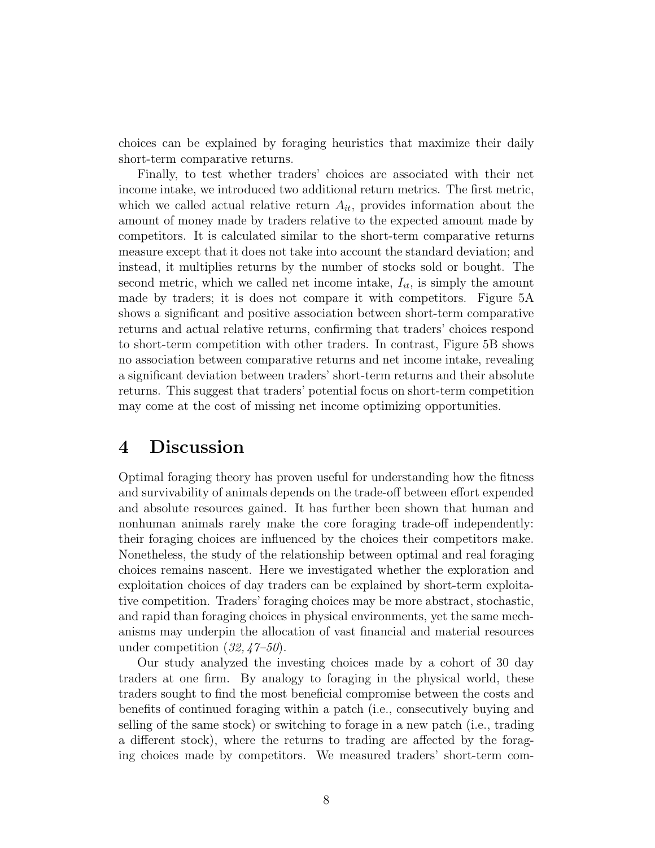choices can be explained by foraging heuristics that maximize their daily short-term comparative returns.

Finally, to test whether traders' choices are associated with their net income intake, we introduced two additional return metrics. The first metric, which we called actual relative return  $A_{it}$ , provides information about the amount of money made by traders relative to the expected amount made by competitors. It is calculated similar to the short-term comparative returns measure except that it does not take into account the standard deviation; and instead, it multiplies returns by the number of stocks sold or bought. The second metric, which we called net income intake,  $I_{it}$ , is simply the amount made by traders; it is does not compare it with competitors. Figure 5A shows a significant and positive association between short-term comparative returns and actual relative returns, confirming that traders' choices respond to short-term competition with other traders. In contrast, Figure 5B shows no association between comparative returns and net income intake, revealing a significant deviation between traders' short-term returns and their absolute returns. This suggest that traders' potential focus on short-term competition may come at the cost of missing net income optimizing opportunities.

### 4 Discussion

Optimal foraging theory has proven useful for understanding how the fitness and survivability of animals depends on the trade-off between effort expended and absolute resources gained. It has further been shown that human and nonhuman animals rarely make the core foraging trade-off independently: their foraging choices are influenced by the choices their competitors make. Nonetheless, the study of the relationship between optimal and real foraging choices remains nascent. Here we investigated whether the exploration and exploitation choices of day traders can be explained by short-term exploitative competition. Traders' foraging choices may be more abstract, stochastic, and rapid than foraging choices in physical environments, yet the same mechanisms may underpin the allocation of vast financial and material resources under competition (*32, 47–50*).

Our study analyzed the investing choices made by a cohort of 30 day traders at one firm. By analogy to foraging in the physical world, these traders sought to find the most beneficial compromise between the costs and benefits of continued foraging within a patch (i.e., consecutively buying and selling of the same stock) or switching to forage in a new patch (i.e., trading a different stock), where the returns to trading are affected by the foraging choices made by competitors. We measured traders' short-term com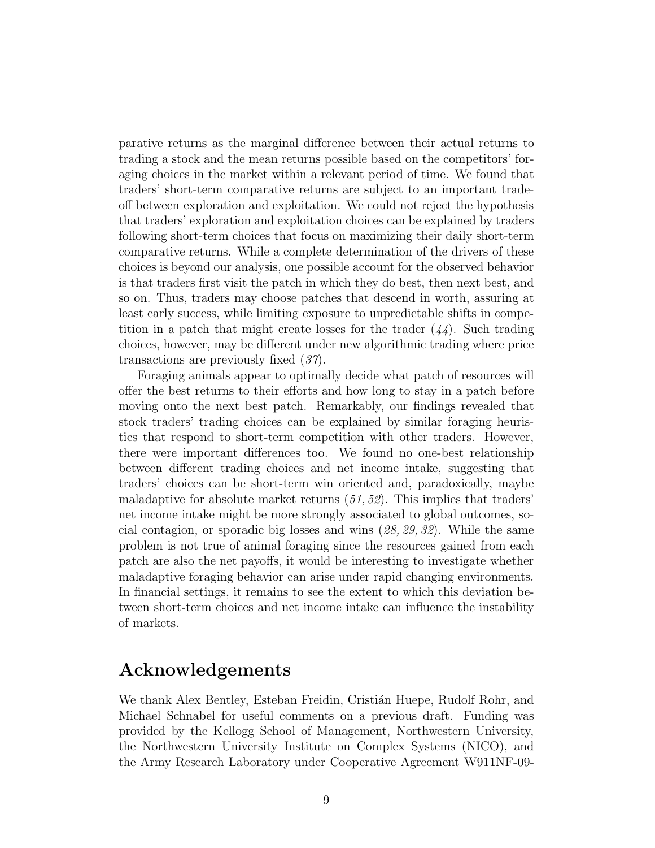parative returns as the marginal difference between their actual returns to trading a stock and the mean returns possible based on the competitors' foraging choices in the market within a relevant period of time. We found that traders' short-term comparative returns are subject to an important tradeoff between exploration and exploitation. We could not reject the hypothesis that traders' exploration and exploitation choices can be explained by traders following short-term choices that focus on maximizing their daily short-term comparative returns. While a complete determination of the drivers of these choices is beyond our analysis, one possible account for the observed behavior is that traders first visit the patch in which they do best, then next best, and so on. Thus, traders may choose patches that descend in worth, assuring at least early success, while limiting exposure to unpredictable shifts in competition in a patch that might create losses for the trader (*44*). Such trading choices, however, may be different under new algorithmic trading where price transactions are previously fixed (*37*).

Foraging animals appear to optimally decide what patch of resources will offer the best returns to their efforts and how long to stay in a patch before moving onto the next best patch. Remarkably, our findings revealed that stock traders' trading choices can be explained by similar foraging heuristics that respond to short-term competition with other traders. However, there were important differences too. We found no one-best relationship between different trading choices and net income intake, suggesting that traders' choices can be short-term win oriented and, paradoxically, maybe maladaptive for absolute market returns (*51, 52*). This implies that traders' net income intake might be more strongly associated to global outcomes, social contagion, or sporadic big losses and wins (*28, 29, 32*). While the same problem is not true of animal foraging since the resources gained from each patch are also the net payoffs, it would be interesting to investigate whether maladaptive foraging behavior can arise under rapid changing environments. In financial settings, it remains to see the extent to which this deviation between short-term choices and net income intake can influence the instability of markets.

## Acknowledgements

We thank Alex Bentley, Esteban Freidin, Cristián Huepe, Rudolf Rohr, and Michael Schnabel for useful comments on a previous draft. Funding was provided by the Kellogg School of Management, Northwestern University, the Northwestern University Institute on Complex Systems (NICO), and the Army Research Laboratory under Cooperative Agreement W911NF-09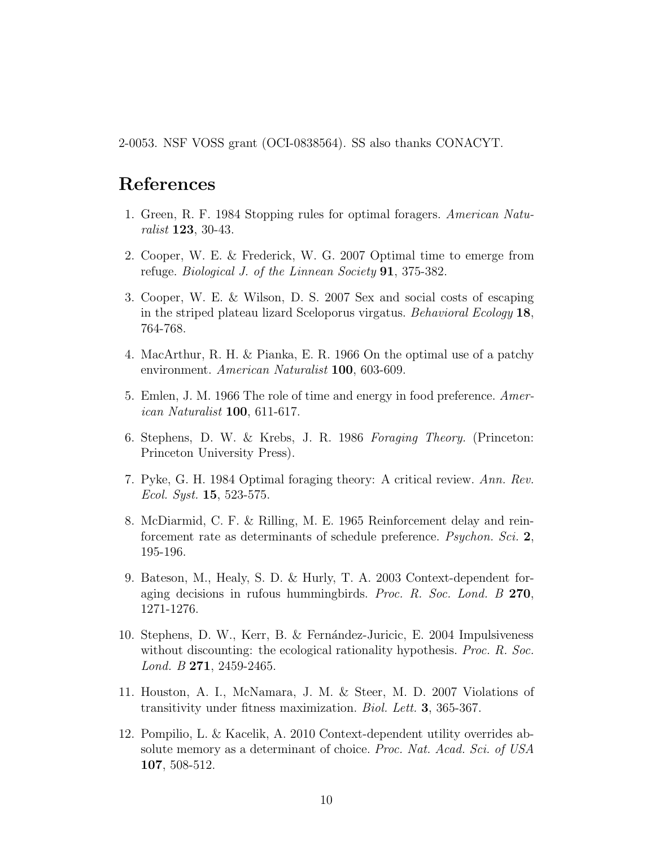2-0053. NSF VOSS grant (OCI-0838564). SS also thanks CONACYT.

### References

- 1. Green, R. F. 1984 Stopping rules for optimal foragers. *American Naturalist* 123, 30-43.
- 2. Cooper, W. E. & Frederick, W. G. 2007 Optimal time to emerge from refuge. *Biological J. of the Linnean Society* 91, 375-382.
- 3. Cooper, W. E. & Wilson, D. S. 2007 Sex and social costs of escaping in the striped plateau lizard Sceloporus virgatus. *Behavioral Ecology* 18, 764-768.
- 4. MacArthur, R. H. & Pianka, E. R. 1966 On the optimal use of a patchy environment. *American Naturalist* 100, 603-609.
- 5. Emlen, J. M. 1966 The role of time and energy in food preference. *American Naturalist* 100, 611-617.
- 6. Stephens, D. W. & Krebs, J. R. 1986 *Foraging Theory.* (Princeton: Princeton University Press).
- 7. Pyke, G. H. 1984 Optimal foraging theory: A critical review. *Ann. Rev. Ecol. Syst.* 15, 523-575.
- 8. McDiarmid, C. F. & Rilling, M. E. 1965 Reinforcement delay and reinforcement rate as determinants of schedule preference. *Psychon. Sci.* 2, 195-196.
- 9. Bateson, M., Healy, S. D. & Hurly, T. A. 2003 Context-dependent foraging decisions in rufous hummingbirds. *Proc. R. Soc. Lond. B* 270, 1271-1276.
- 10. Stephens, D. W., Kerr, B. & Fernández-Juricic, E. 2004 Impulsiveness without discounting: the ecological rationality hypothesis. *Proc. R. Soc. Lond. B* 271, 2459-2465.
- 11. Houston, A. I., McNamara, J. M. & Steer, M. D. 2007 Violations of transitivity under fitness maximization. *Biol. Lett.* 3, 365-367.
- 12. Pompilio, L. & Kacelik, A. 2010 Context-dependent utility overrides absolute memory as a determinant of choice. *Proc. Nat. Acad. Sci. of USA* 107, 508-512.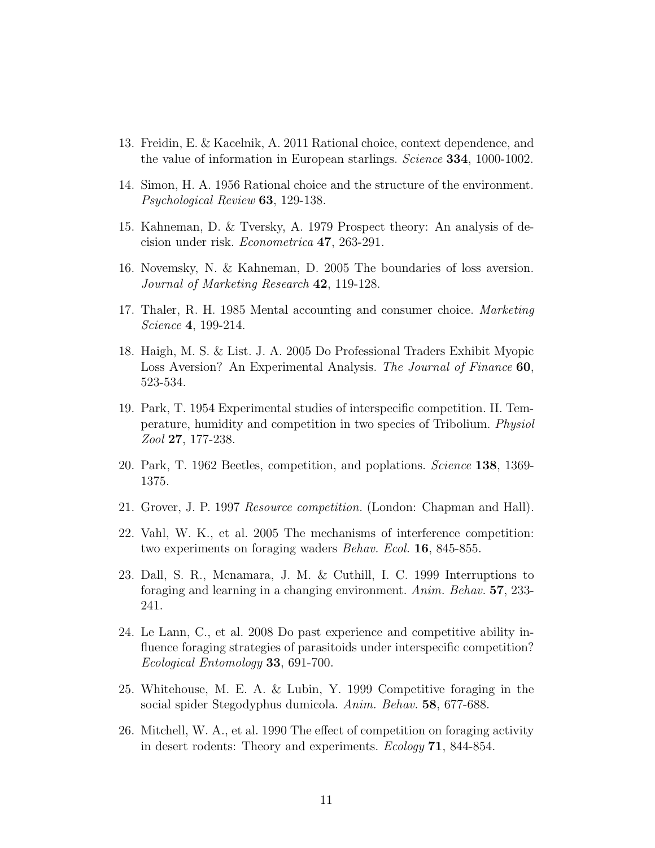- 13. Freidin, E. & Kacelnik, A. 2011 Rational choice, context dependence, and the value of information in European starlings. *Science* 334, 1000-1002.
- 14. Simon, H. A. 1956 Rational choice and the structure of the environment. *Psychological Review* 63, 129-138.
- 15. Kahneman, D. & Tversky, A. 1979 Prospect theory: An analysis of decision under risk. *Econometrica* 47, 263-291.
- 16. Novemsky, N. & Kahneman, D. 2005 The boundaries of loss aversion. *Journal of Marketing Research* 42, 119-128.
- 17. Thaler, R. H. 1985 Mental accounting and consumer choice. *Marketing Science* 4, 199-214.
- 18. Haigh, M. S. & List. J. A. 2005 Do Professional Traders Exhibit Myopic Loss Aversion? An Experimental Analysis. *The Journal of Finance* 60, 523-534.
- 19. Park, T. 1954 Experimental studies of interspecific competition. II. Temperature, humidity and competition in two species of Tribolium. *Physiol Zool* 27, 177-238.
- 20. Park, T. 1962 Beetles, competition, and poplations. *Science* 138, 1369- 1375.
- 21. Grover, J. P. 1997 *Resource competition.* (London: Chapman and Hall).
- 22. Vahl, W. K., et al. 2005 The mechanisms of interference competition: two experiments on foraging waders *Behav. Ecol.* 16, 845-855.
- 23. Dall, S. R., Mcnamara, J. M. & Cuthill, I. C. 1999 Interruptions to foraging and learning in a changing environment. *Anim. Behav.* 57, 233- 241.
- 24. Le Lann, C., et al. 2008 Do past experience and competitive ability influence foraging strategies of parasitoids under interspecific competition? *Ecological Entomology* 33, 691-700.
- 25. Whitehouse, M. E. A. & Lubin, Y. 1999 Competitive foraging in the social spider Stegodyphus dumicola. *Anim. Behav.* 58, 677-688.
- 26. Mitchell, W. A., et al. 1990 The effect of competition on foraging activity in desert rodents: Theory and experiments. *Ecology* 71, 844-854.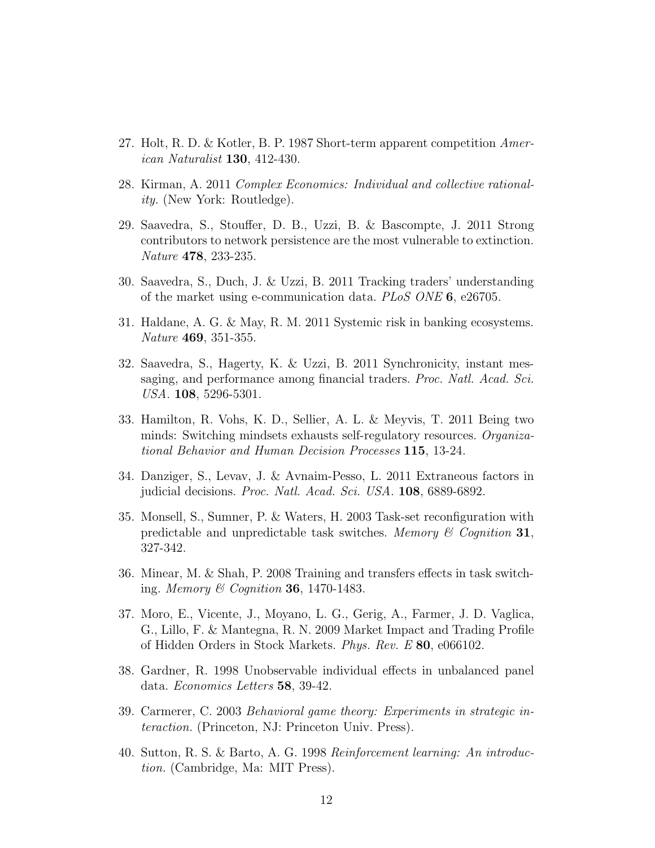- 27. Holt, R. D. & Kotler, B. P. 1987 Short-term apparent competition *American Naturalist* 130, 412-430.
- 28. Kirman, A. 2011 *Complex Economics: Individual and collective rationality.* (New York: Routledge).
- 29. Saavedra, S., Stouffer, D. B., Uzzi, B. & Bascompte, J. 2011 Strong contributors to network persistence are the most vulnerable to extinction. *Nature* 478, 233-235.
- 30. Saavedra, S., Duch, J. & Uzzi, B. 2011 Tracking traders' understanding of the market using e-communication data. *PLoS ONE* 6, e26705.
- 31. Haldane, A. G. & May, R. M. 2011 Systemic risk in banking ecosystems. *Nature* 469, 351-355.
- 32. Saavedra, S., Hagerty, K. & Uzzi, B. 2011 Synchronicity, instant messaging, and performance among financial traders. *Proc. Natl. Acad. Sci. USA.* 108, 5296-5301.
- 33. Hamilton, R. Vohs, K. D., Sellier, A. L. & Meyvis, T. 2011 Being two minds: Switching mindsets exhausts self-regulatory resources. *Organizational Behavior and Human Decision Processes* 115, 13-24.
- 34. Danziger, S., Levav, J. & Avnaim-Pesso, L. 2011 Extraneous factors in judicial decisions. *Proc. Natl. Acad. Sci. USA.* 108, 6889-6892.
- 35. Monsell, S., Sumner, P. & Waters, H. 2003 Task-set reconfiguration with predictable and unpredictable task switches. *Memory & Cognition* 31, 327-342.
- 36. Minear, M. & Shah, P. 2008 Training and transfers effects in task switching. *Memory & Cognition* 36, 1470-1483.
- 37. Moro, E., Vicente, J., Moyano, L. G., Gerig, A., Farmer, J. D. Vaglica, G., Lillo, F. & Mantegna, R. N. 2009 Market Impact and Trading Profile of Hidden Orders in Stock Markets. *Phys. Rev. E* 80, e066102.
- 38. Gardner, R. 1998 Unobservable individual effects in unbalanced panel data. *Economics Letters* 58, 39-42.
- 39. Carmerer, C. 2003 *Behavioral game theory: Experiments in strategic interaction.* (Princeton, NJ: Princeton Univ. Press).
- 40. Sutton, R. S. & Barto, A. G. 1998 *Reinforcement learning: An introduction.* (Cambridge, Ma: MIT Press).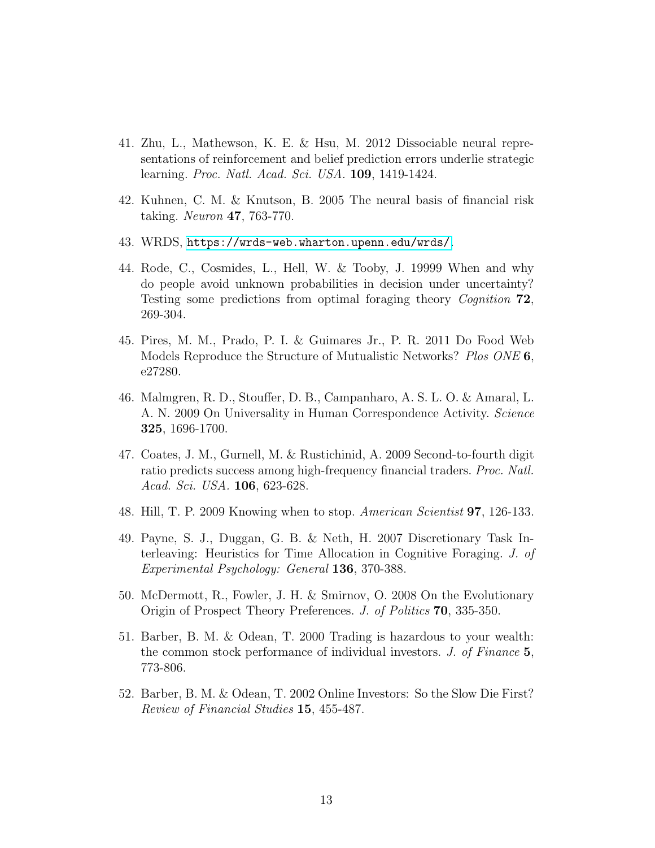- 41. Zhu, L., Mathewson, K. E. & Hsu, M. 2012 Dissociable neural representations of reinforcement and belief prediction errors underlie strategic learning. *Proc. Natl. Acad. Sci. USA.* 109, 1419-1424.
- 42. Kuhnen, C. M. & Knutson, B. 2005 The neural basis of financial risk taking. *Neuron* 47, 763-770.
- 43. WRDS, <https://wrds-web.wharton.upenn.edu/wrds/>.
- 44. Rode, C., Cosmides, L., Hell, W. & Tooby, J. 19999 When and why do people avoid unknown probabilities in decision under uncertainty? Testing some predictions from optimal foraging theory *Cognition* 72, 269-304.
- 45. Pires, M. M., Prado, P. I. & Guimares Jr., P. R. 2011 Do Food Web Models Reproduce the Structure of Mutualistic Networks? *Plos ONE* 6, e27280.
- 46. Malmgren, R. D., Stouffer, D. B., Campanharo, A. S. L. O. & Amaral, L. A. N. 2009 On Universality in Human Correspondence Activity. *Science* 325, 1696-1700.
- 47. Coates, J. M., Gurnell, M. & Rustichinid, A. 2009 Second-to-fourth digit ratio predicts success among high-frequency financial traders. *Proc. Natl. Acad. Sci. USA.* 106, 623-628.
- 48. Hill, T. P. 2009 Knowing when to stop. *American Scientist* 97, 126-133.
- 49. Payne, S. J., Duggan, G. B. & Neth, H. 2007 Discretionary Task Interleaving: Heuristics for Time Allocation in Cognitive Foraging. *J. of Experimental Psychology: General* 136, 370-388.
- 50. McDermott, R., Fowler, J. H. & Smirnov, O. 2008 On the Evolutionary Origin of Prospect Theory Preferences. *J. of Politics* 70, 335-350.
- 51. Barber, B. M. & Odean, T. 2000 Trading is hazardous to your wealth: the common stock performance of individual investors. *J. of Finance* 5, 773-806.
- 52. Barber, B. M. & Odean, T. 2002 Online Investors: So the Slow Die First? *Review of Financial Studies* 15, 455-487.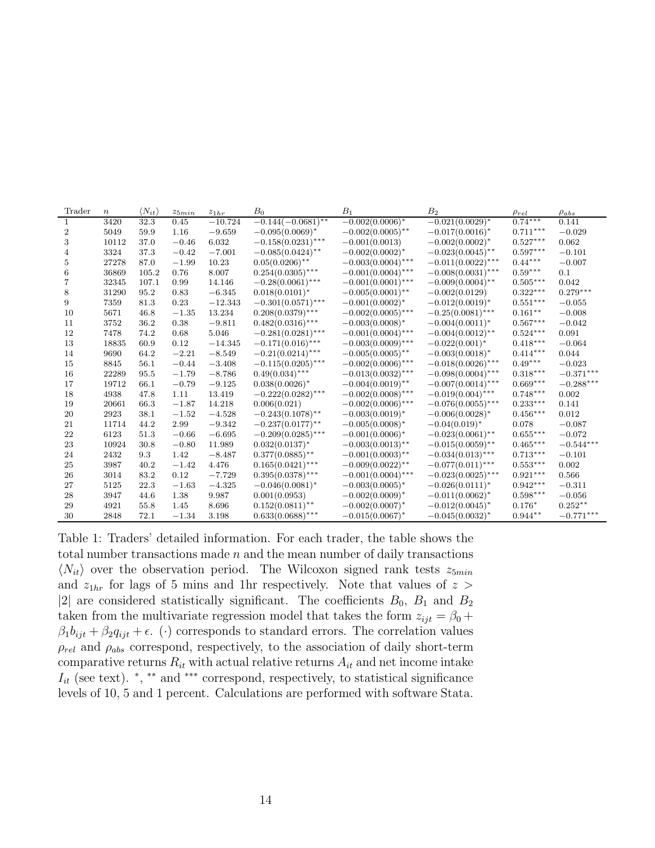| Trader | $\boldsymbol{n}$ | $\langle N_{it} \rangle$ | $z_{5min}$ | $z_{1hr}$ | B <sub>0</sub>       | $B_1$                | B <sub>2</sub>       | $\rho_{rel}$    | $\rho_{abs}$ |
|--------|------------------|--------------------------|------------|-----------|----------------------|----------------------|----------------------|-----------------|--------------|
| -1     | 3420             | 32.3                     | 0.45       | $-10.724$ | $-0.144(-0.0681)$ ** | $-0.002(0.0006)^*$   | $-0.021(0.0029)$ *   | $0.74***$       | 0.141        |
| 2      | 5049             | 59.9                     | 1.16       | $-9.659$  | $-0.095(0.0069)^*$   | $-0.002(0.0005)$ **  | $-0.017(0.0016)^*$   | $0.711***$      | $-0.029$     |
| 3      | 10112            | 37.0                     | $-0.46$    | 6.032     | $-0.158(0.0231)$ *** | $-0.001(0.0013)$     | $-0.002(0.0002)^{*}$ | $0.527***$      | 0.062        |
| 4      | 3324             | 37.3                     | $-0.42$    | $-7.001$  | $-0.085(0.0424)$ **  | $-0.002(0.0002)^{*}$ | $-0.023(0.0045)$ **  | $0.597***$      | $-0.101$     |
| 5      | 27278            | 87.0                     | $-1.99$    | 10.23     | $0.05(0.0206)$ **    | $-0.003(0.0004)$ *** | $-0.011(0.0022)$ *** | $0.44***$       | $-0.007$     |
| 6      | 36869            | 105.2                    | 0.76       | 8.007     | $0.254(0.0305)$ ***  | $-0.001(0.0004)$ *** | $-0.008(0.0031)$ *** | $0.59***$       | 0.1          |
| 7      | 32345            | 107.1                    | 0.99       | 14.146    | $-0.28(0.0061)$ ***  | $-0.001(0.0001)$ *** | $-0.009(0.0004)$ **  | $0.505***$      | 0.042        |
| 8      | 31290            | 95.2                     | 0.83       | $-6.345$  | $0.018(0.0101)*$     | $-0.005(0.0001)$ **  | $-0.002(0.0129)$     | $0.322***$      | $0.279***$   |
| 9      | 7359             | 81.3                     | 0.23       | $-12.343$ | $-0.301(0.0571)$ *** | $-0.001(0.0002)^{*}$ | $-0.012(0.0019)^*$   | $0.551***$      | $-0.055$     |
| 10     | 5671             | 46.8                     | $-1.35$    | 13.234    | $0.208(0.0379)$ ***  | $-0.002(0.0005)$ *** | $-0.25(0.0081)$ ***  | $0.161**$       | $-0.008$     |
| 11     | 3752             | 36.2                     | 0.38       | $-9.811$  | $0.482(0.0316)$ ***  | $-0.003(0.0008)^*$   | $-0.004(0.0011)^{*}$ | $0.567***$      | $-0.042$     |
| 12     | 7478             | 74.2                     | 0.68       | 5.046     | $-0.281(0.0281)$ *** | $-0.001(0.0004)$ *** | $-0.004(0.0012)$ **  | $0.524***$      | 0.091        |
| 13     | 18835            | 60.9                     | 0.12       | $-14.345$ | $-0.171(0.016)$ ***  | $-0.003(0.0009)$ *** | $-0.022(0.001)^*$    | $0.418***$      | $-0.064$     |
| 14     | 9690             | 64.2                     | $-2.21$    | $-8.549$  | $-0.21(0.0214)$ ***  | $-0.005(0.0005)$ **  | $-0.003(0.0018)^*$   | $0.414***$      | 0.044        |
| 15     | 8845             | 56.1                     | $-0.44$    | $-3.408$  | $-0.115(0.0205)$ *** | $-0.002(0.0006)$ *** | $-0.018(0.0026)$ *** | $0.49***$       | $-0.023$     |
| 16     | 22289            | 95.5                     | $-1.79$    | $-8.786$  | $0.49(0.034)$ ***    | $-0.013(0.0032)$ *** | $-0.098(0.0004)$ *** | $0.318***$      | $-0.371***$  |
| 17     | 19712            | 66.1                     | $-0.79$    | $-9.125$  | $0.038(0.0026)$ *    | $-0.004(0.0019)$ **  | $-0.007(0.0014)$ *** | $0.669***$      | $-0.288***$  |
| 18     | 4938             | 47.8                     | 1.11       | 13.419    | $-0.222(0.0282)$ *** | $-0.002(0.0008)$ *** | $-0.019(0.004)$ ***  | $0.748***$      | 0.002        |
| 19     | 20661            | 66.3                     | $-1.87$    | 14.218    | 0.006(0.021)         | $-0.002(0.0006)$ *** | $-0.076(0.0055)$ *** | $0.233***$      | 0.141        |
| 20     | 2923             | 38.1                     | $-1.52$    | $-4.528$  | $-0.243(0.1078)$ **  | $-0.003(0.0019)^{*}$ | $-0.006(0.0028)^*$   | $0.456***$      | 0.012        |
| 21     | 11714            | 44.2                     | 2.99       | $-9.342$  | $-0.237(0.0177)$ **  | $-0.005(0.0008)^*$   | $-0.04(0.019)$ *     | 0.078           | $-0.087$     |
| 22     | 6123             | 51.3                     | $-0.66$    | $-6.695$  | $-0.209(0.0285)$ *** | $-0.001(0.0006)^*$   | $-0.023(0.0061)$ **  | $0.655***$      | $-0.072$     |
| 23     | 10924            | 30.8                     | $-0.80$    | 11.989    | $0.032(0.0137)^*$    | $-0.003(0.0013)$ **  | $-0.015(0.0059)$ **  | $0.465***$      | $-0.544***$  |
| 24     | 2432             | 9.3                      | 1.42       | $-8.487$  | $0.377(0.0885)$ **   | $-0.001(0.0003)$ **  | $-0.034(0.013)$ ***  | $0.713***$      | $-0.101$     |
| 25     | 3987             | 40.2                     | $-1.42$    | 4.476     | $0.165(0.0421)$ ***  | $-0.009(0.0022)$ **  | $-0.077(0.011)$ ***  | $0.553^{***}\,$ | 0.002        |
| 26     | 3014             | 83.2                     | 0.12       | $-7.729$  | $0.395(0.0378)$ ***  | $-0.001(0.0004)$ *** | $-0.023(0.0025)$ *** | $0.921***$      | 0.566        |
| 27     | 5125             | 22.3                     | $-1.63$    | $-4.325$  | $-0.046(0.0081)^*$   | $-0.003(0.0005)^*$   | $-0.026(0.0111)^*$   | $0.942***$      | $-0.311$     |
| 28     | 3947             | 44.6                     | 1.38       | 9.987     | 0.001(0.0953)        | $-0.002(0.0009)^*$   | $-0.011(0.0062)^{*}$ | $0.598***$      | $-0.056$     |
| 29     | 4921             | 55.8                     | 1.45       | 8.696     | $0.152(0.0811)$ **   | $-0.002(0.0007)^*$   | $-0.012(0.0045)^{*}$ | $0.176*$        | $0.252**$    |
| 30     | 2848             | 72.1                     | $-1.34$    | 3.198     | $0.633(0.0688)$ ***  | $-0.015(0.0067)^*$   | $-0.045(0.0032)^{*}$ | $0.944**$       | $-0.771***$  |

Table 1: Traders' detailed information. For each trader, the table shows the total number transactions made  $n$  and the mean number of daily transactions  $\langle N_{it} \rangle$  over the observation period. The Wilcoxon signed rank tests  $z_{5min}$ and  $z_{1hr}$  for lags of 5 mins and 1hr respectively. Note that values of  $z >$ |2| are considered statistically significant. The coefficients  $B_0$ ,  $B_1$  and  $B_2$ taken from the multivariate regression model that takes the form  $z_{ijt} = \beta_0 + \beta_0$  $\beta_1 b_{ijt} + \beta_2 q_{ijt} + \epsilon$ . (·) corresponds to standard errors. The correlation values  $\rho_{rel}$  and  $\rho_{abs}$  correspond, respectively, to the association of daily short-term comparative returns  $R_{it}$  with actual relative returns  $A_{it}$  and net income intake  $I_{it}$  (see text). \*, \*\* and \*\*\* correspond, respectively, to statistical significance levels of 10, 5 and 1 percent. Calculations are performed with software Stata.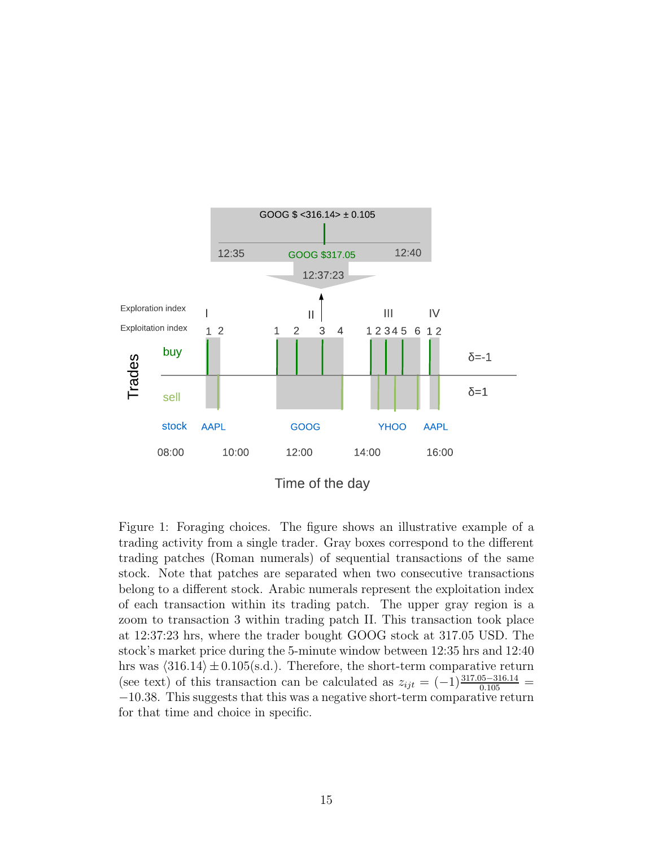

Figure 1: Foraging choices. The figure shows an illustrative example of a trading activity from a single trader. Gray boxes correspond to the different trading patches (Roman numerals) of sequential transactions of the same stock. Note that patches are separated when two consecutive transactions belong to a different stock. Arabic numerals represent the exploitation index of each transaction within its trading patch. The upper gray region is a zoom to transaction 3 within trading patch II. This transaction took place at 12:37:23 hrs, where the trader bought GOOG stock at 317.05 USD. The stock's market price during the 5-minute window between 12:35 hrs and 12:40 hrs was  $\langle 316.14 \rangle \pm 0.105$ (s.d.). Therefore, the short-term comparative return (see text) of this transaction can be calculated as  $z_{ijt} = (-1) \frac{317.05 - 316.14}{0.105}$ −10.38. This suggests that this was a negative short-term comparative return for that time and choice in specific.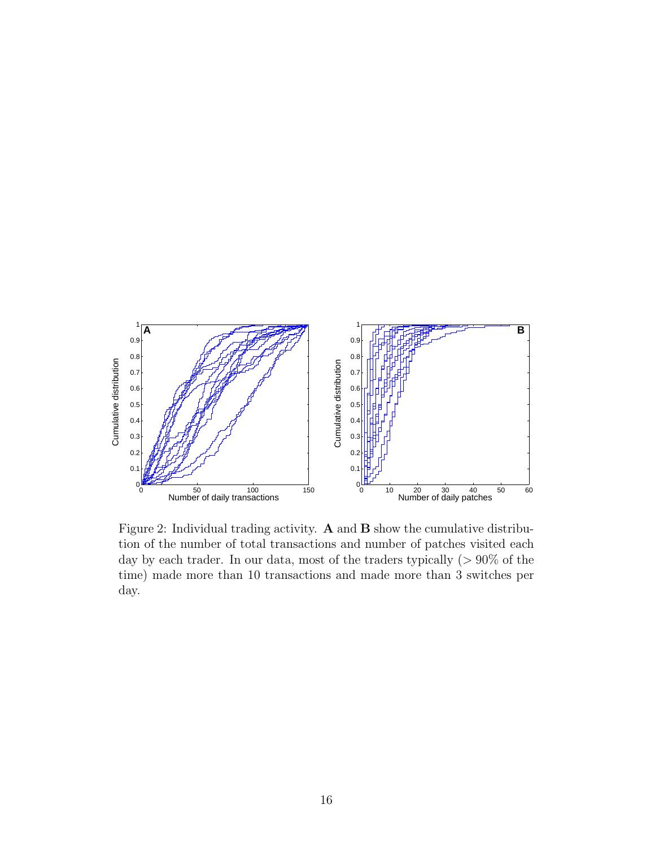

Figure 2: Individual trading activity. A and B show the cumulative distribution of the number of total transactions and number of patches visited each day by each trader. In our data, most of the traders typically  $(> 90\%$  of the time) made more than 10 transactions and made more than 3 switches per day.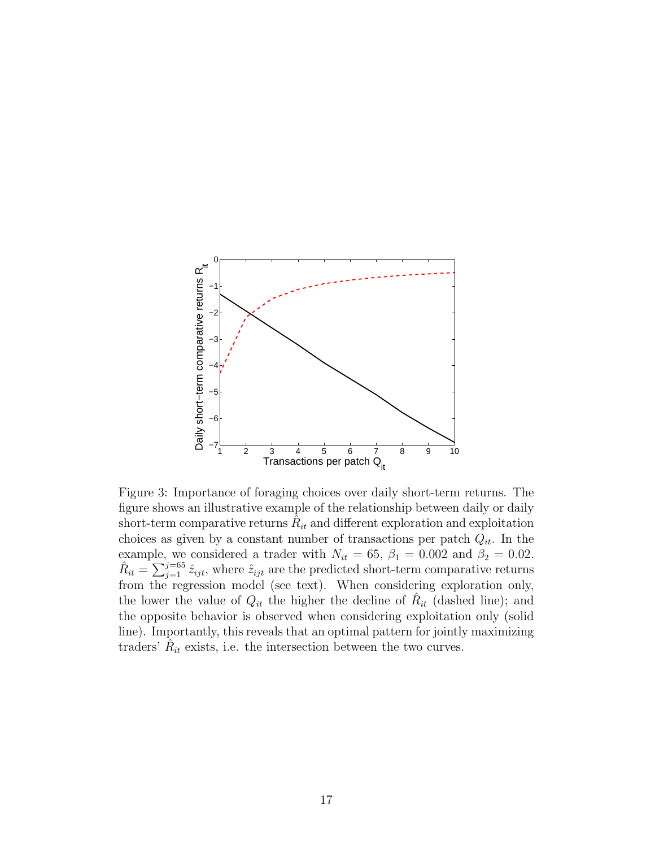

Figure 3: Importance of foraging choices over daily short-term returns. The figure shows an illustrative example of the relationship between daily or daily short-term comparative returns  $\hat{R}_{it}$  and different exploration and exploitation choices as given by a constant number of transactions per patch  $Q_{it}$ . In the example, we considered a trader with  $N_{it} = 65$ ,  $\beta_1 = 0.002$  and  $\beta_2 = 0.02$ .  $\hat{R}_{it} = \sum_{j=1}^{j=65} \hat{z}_{ijt}$ , where  $\hat{z}_{ijt}$  are the predicted short-term comparative returns from the regression model (see text). When considering exploration only, the lower the value of  $Q_{it}$  the higher the decline of  $R_{it}$  (dashed line); and the opposite behavior is observed when considering exploitation only (solid line). Importantly, this reveals that an optimal pattern for jointly maximizing traders'  $\hat{R}_{it}$  exists, i.e. the intersection between the two curves.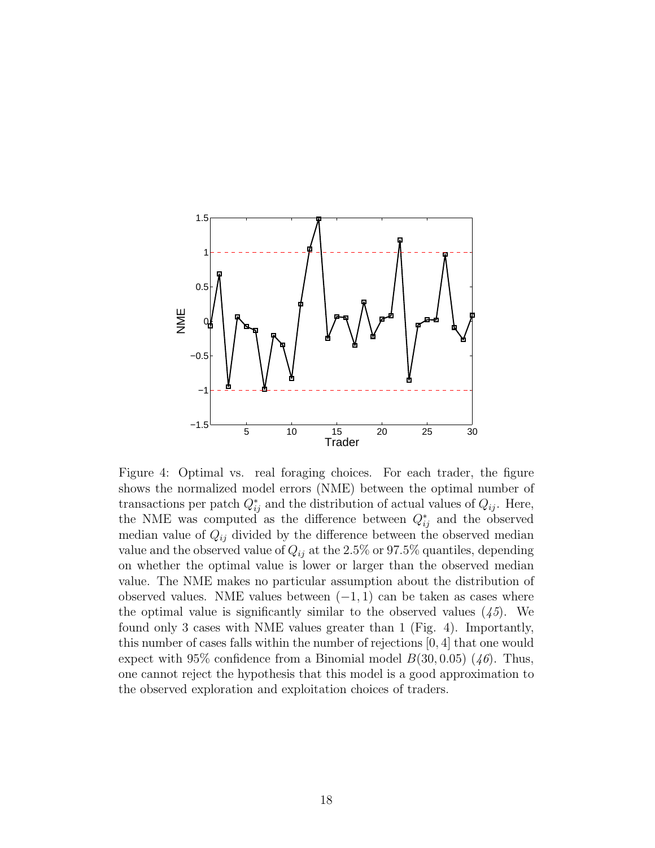

Figure 4: Optimal vs. real foraging choices. For each trader, the figure shows the normalized model errors (NME) between the optimal number of transactions per patch  $Q_{ij}^*$  and the distribution of actual values of  $Q_{ij}$ . Here, the NME was computed as the difference between  $Q_{ij}^*$  and the observed median value of  $Q_{ij}$  divided by the difference between the observed median value and the observed value of  $Q_{ij}$  at the 2.5% or 97.5% quantiles, depending on whether the optimal value is lower or larger than the observed median value. The NME makes no particular assumption about the distribution of observed values. NME values between  $(-1, 1)$  can be taken as cases where the optimal value is significantly similar to the observed values (*45*). We found only 3 cases with NME values greater than 1 (Fig. 4). Importantly, this number of cases falls within the number of rejections [0, 4] that one would expect with 95% confidence from a Binomial model  $B(30, 0.05)$  (46). Thus, one cannot reject the hypothesis that this model is a good approximation to the observed exploration and exploitation choices of traders.